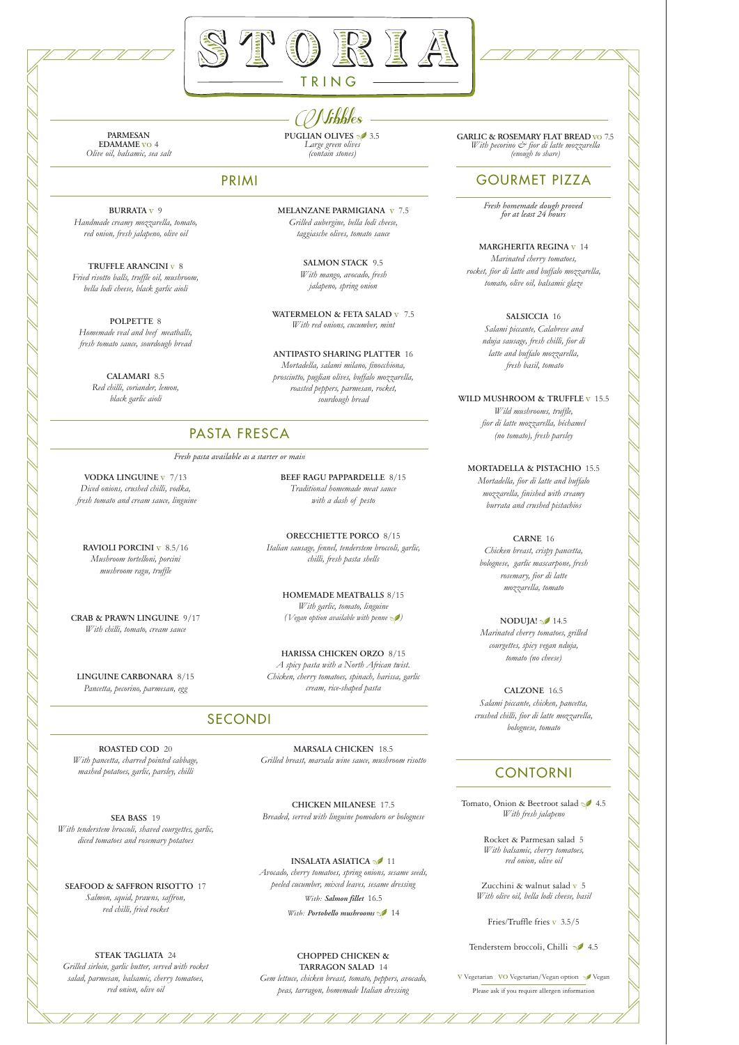# GOURMET PIZZA

*Fresh homemade dough proved for at least 24 hours*

**MARGHERITA REGINA** v 14 *Marinated cherry tomatoes, rocket, fior di latte and buffalo mozzarella, tomato, olive oil, balsamic glaze*

> **SALSICCIA** 16 *Salami piccante, Calabrese and nduja sausage, fresh chilli, fior di latte and buffalo mozzarella, fresh basil, tomato*

**WILD MUSHROOM & TRUFFLE** v 15.5

**NODUJA!** 14.5 *Marinated cherry tomatoes, grilled courgettes, spicy vegan nduja, tomato (no cheese)*

*Wild mushrooms, truffle, fior di latte mozzarella, béchamel (no tomato), fresh parsley*

**MORTADELLA & PISTACHIO** 15.5

Tomato, Onion & Beetroot salad  $\sqrt{4.5}$ *With fresh jalapeno*

*Mortadella, fior di latte and buffalo mozzarella, finished with creamy burrata and crushed pistachios*

### **CARNE** 16

*Chicken breast, crispy pancetta, bolognese, garlic mascarpone, fresh rosemary, fior di latte mozzarella, tomato*

**CALZONE** 16.5 *Salami piccante, chicken, pancetta, crushed chilli, fior di latte mozzarella, bolognese, tomato*

## CONTORNI

Rocket & Parmesan salad 5 *With balsamic, cherry tomatoes, red onion, olive oil*

Zucchini & walnut salad v 5 *With olive oil, bella lodi cheese, basil*

Fries/Truffle fries v 3.5/5

Tenderstem broccoli, Chilli 14.5

V Vegetarian VO Vegetarian/Vegan option Vegan

Please ask if you require allergen information

**BURRATA** v 9 *Handmade creamy mozzarella, tomato, red onion, fresh jalapeno, olive oil*

**TRUFFLE ARANCINI** v 8 *Fried risotto balls, truffle oil, mushroom, bella lodi cheese, black garlic aioli*

**POLPETTE** 8 *Homemade veal and beef meatballs, fresh tomato sauce, sourdough bread*

> **CALAMARI** 8.5 *Red chilli, coriander, lemon, black garlic aioli*

## **MELANZANE PARMIGIANA** v 7.5 *Grilled aubergine, bella lodi cheese, taggiasche olives, tomato sauce*

**SALMON STACK** 9.5 *With mango, avocado, fresh jalapeno, spring onion*

**WATERMELON & FETA SALAD** v 7.5 *With red onions, cucumber, mint*

### **ANTIPASTO SHARING PLATTER** 16

**PUGLIAN OLIVES**  $\frac{1}{2}$  3.5 **GARLIC** & **ROSEMARY FLAT BREAD** vo 7.5 *With pecorino & fior di latte mozzarella (enough to share)*

*Mortadella, salami milano, finocchiona, prosciutto, puglian olives, buffalo mozzarella, roasted peppers, parmesan, rocket, sourdough bread*

## PRIMI

**VODKA LINGUINE** v 7/13 *Diced onions, crushed chilli, vodka, fresh tomato and cream sauce, linguine*

**RAVIOLI PORCINI** v 8.5/16 *Mushroom tortelloni, porcini mushroom ragu, truffle*

**CRAB & PRAWN LINGUINE** 9/17 *With chilli, tomato, cream sauce*

**LINGUINE CARBONARA** 8/15 *Pancetta, pecorino, parmesan, egg*

**BEEF RAGU PAPPARDELLE** 8/15 *Traditional homemade meat sauce with a dash of pesto*

**ORECCHIETTE PORCO** 8/15 *Italian sausage, fennel, tenderstem broccoli, garlic, chilli, fresh pasta shells*

**HOMEMADE MEATBALLS** 8/15 *With garlic, tomato, linguine ( Vegan option available with penne )*

**HARISSA CHICKEN ORZO** 8/15 *A spicy pasta with a North African twist. Chicken, cherry tomatoes, spinach, harissa, garlic cream, rice-shaped pasta*

# PASTA FRESCA

*Fresh pasta available as a starter or main*

### **ROASTED COD** 20

*With pancetta, charred pointed cabbage, mashed potatoes, garlic, parsley, chilli*

**SEA BASS** 19 *With tenderstem broccoli, shaved courgettes, garlic, diced tomatoes and rosemary potatoes*

#### **SEAFOOD & SAFFRON RISOTTO** 17

*Salmon, squid, prawns, saffron, red chilli, fried rocket*

#### **STEAK TAGLIATA** 24

*Grilled sirloin, garlic butter, served with rocket salad, parmesan, balsamic, cherry tomatoes, red onion, olive oil*

**MARSALA CHICKEN** 18.5 *Grilled breast, marsala wine sauce, mushroom risotto*

**CHICKEN MILANESE** 17.5

*Breaded, served with linguine pomodoro or bolognese*

#### **INSALATA ASIATICA** <sup>11</sup>

*Avocado, cherry tomatoes, spring onions, sesame seeds, peeled cucumber, mixed leaves, sesame dressing*

*With: Salmon fillet* 16.5

*With: Portobello mushrooms* 14

**CHOPPED CHICKEN & TARRAGON SALAD** 14

*Gem lettuce, chicken breast, tomato, peppers, avocado, peas, tarragon, homemade Italian dressing*

# SECONDI

**PARMESAN EDAMAME** vo 4 *Olive oil, balsamic, sea salt* Nibbles *Large green olives (contain stones)*





TRING